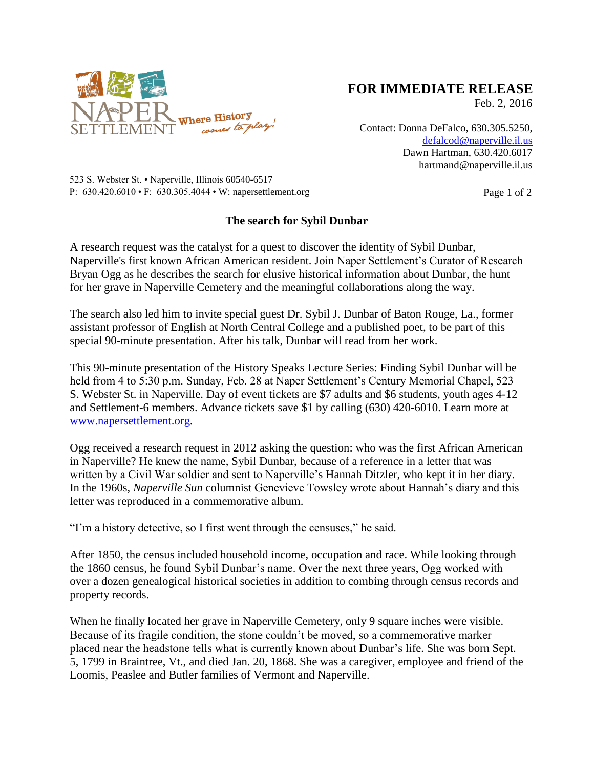

## **FOR IMMEDIATE RELEASE**

Feb. 2, 2016

Contact: Donna DeFalco, 630.305.5250, [defalcod@naperville.il.us](mailto:defalcod@naperville.il.us) Dawn Hartman, 630.420.6017 hartmand@naperville.il.us

523 S. Webster St. • Naperville, Illinois 60540-6517 P:  $630.420.6010 \cdot F$ :  $630.305.4044 \cdot W$ : napersettlement.org Page 1 of 2

## **The search for Sybil Dunbar**

A research request was the catalyst for a quest to discover the identity of Sybil Dunbar, Naperville's first known African American resident. Join Naper Settlement's Curator of Research Bryan Ogg as he describes the search for elusive historical information about Dunbar, the hunt for her grave in Naperville Cemetery and the meaningful collaborations along the way.

The search also led him to invite special guest Dr. Sybil J. Dunbar of Baton Rouge, La., former assistant professor of English at North Central College and a published poet, to be part of this special 90-minute presentation. After his talk, Dunbar will read from her work.

This 90-minute presentation of the History Speaks Lecture Series: Finding Sybil Dunbar will be held from 4 to 5:30 p.m. Sunday, Feb. 28 at Naper Settlement's Century Memorial Chapel, 523 S. Webster St. in Naperville. Day of event tickets are \$7 adults and \$6 students, youth ages 4-12 and Settlement-6 members. Advance tickets save \$1 by calling (630) 420-6010. Learn more at [www.napersettlement.org.](http://www.napersettlement.org/historyspeaks)

Ogg received a research request in 2012 asking the question: who was the first African American in Naperville? He knew the name, Sybil Dunbar, because of a reference in a letter that was written by a Civil War soldier and sent to Naperville's Hannah Ditzler, who kept it in her diary. In the 1960s, *Naperville Sun* columnist Genevieve Towsley wrote about Hannah's diary and this letter was reproduced in a commemorative album.

"I'm a history detective, so I first went through the censuses," he said.

After 1850, the census included household income, occupation and race. While looking through the 1860 census, he found Sybil Dunbar's name. Over the next three years, Ogg worked with over a dozen genealogical historical societies in addition to combing through census records and property records.

When he finally located her grave in Naperville Cemetery, only 9 square inches were visible. Because of its fragile condition, the stone couldn't be moved, so a commemorative marker placed near the headstone tells what is currently known about Dunbar's life. She was born Sept. 5, 1799 in Braintree, Vt., and died Jan. 20, 1868. She was a caregiver, employee and friend of the Loomis, Peaslee and Butler families of Vermont and Naperville.